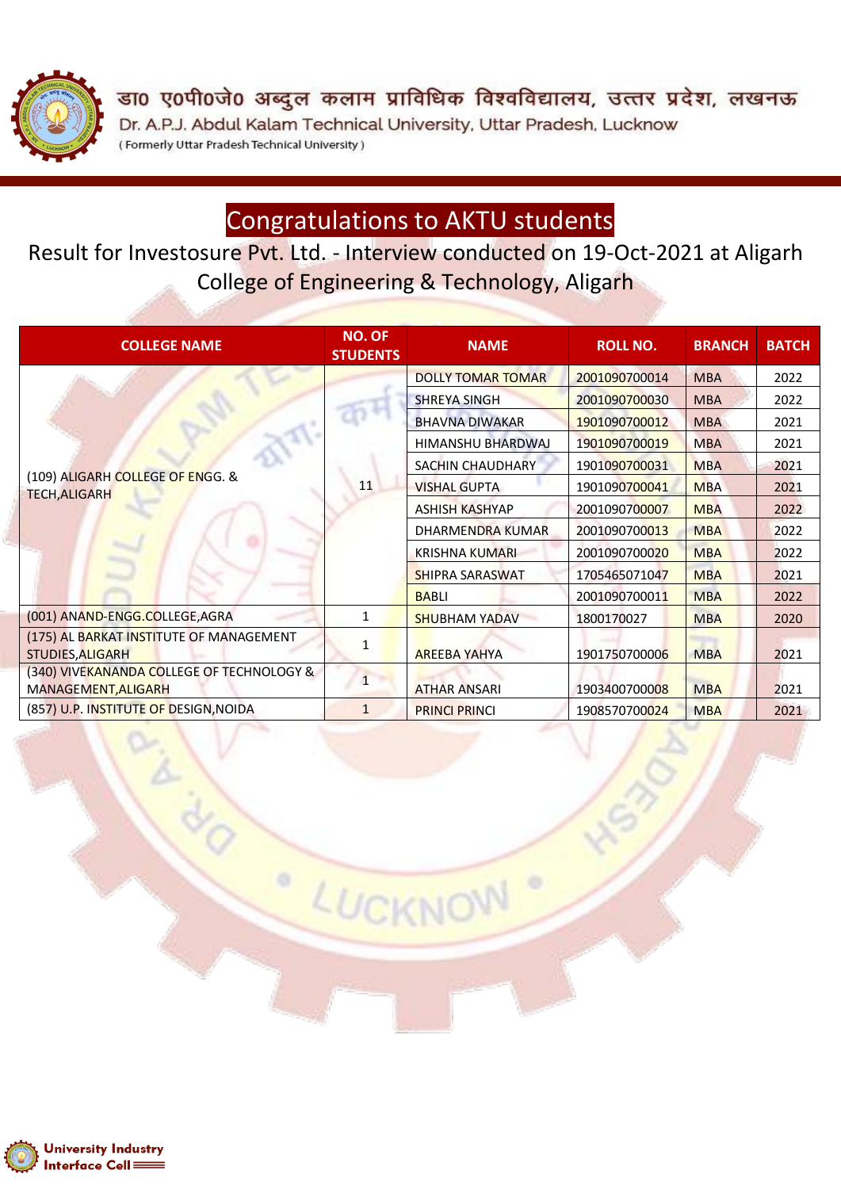

डा0 ए0पी0जे0 अब्दुल कलाम प्राविधिक विश्वविद्यालय, उत्तर प्रदेश, लखनऊ Dr. A.P.J. Abdul Kalam Technical University, Uttar Pradesh, Lucknow (Formerly Uttar Pradesh Technical University)

### Congratulations to AKTU students

Result for Investosure Pvt. Ltd. - Interview conducted on 19-Oct-2021 at Aligarh College of Engineering & Technology, Aligarh

| <b>COLLEGE NAME</b>                                                | <b>NO. OF</b><br><b>NAME</b><br><b>STUDENTS</b> |                          | <b>ROLL NO.</b> | <b>BRANCH</b> | <b>BATCH</b> |
|--------------------------------------------------------------------|-------------------------------------------------|--------------------------|-----------------|---------------|--------------|
|                                                                    |                                                 | <b>DOLLY TOMAR TOMAR</b> | 2001090700014   | <b>MBA</b>    | 2022         |
|                                                                    |                                                 | <b>SHREYA SINGH</b>      | 2001090700030   | <b>MBA</b>    | 2022         |
|                                                                    |                                                 | <b>BHAVNA DIWAKAR</b>    | 1901090700012   | <b>MBA</b>    | 2021         |
|                                                                    |                                                 | HIMANSHU BHARDWAJ        | 1901090700019   | <b>MBA</b>    | 2021         |
|                                                                    |                                                 | SACHIN CHAUDHARY         | 1901090700031   | <b>MBA</b>    | 2021         |
| (109) ALIGARH COLLEGE OF ENGG. &<br><b>TECH, ALIGARH</b>           | 11                                              | <b>VISHAL GUPTA</b>      | 1901090700041   | <b>MBA</b>    | 2021         |
|                                                                    |                                                 | <b>ASHISH KASHYAP</b>    | 2001090700007   | <b>MBA</b>    | 2022         |
|                                                                    |                                                 | DHARMENDRA KUMAR         | 2001090700013   | <b>MBA</b>    | 2022         |
|                                                                    |                                                 | <b>KRISHNA KUMARI</b>    | 2001090700020   | <b>MBA</b>    | 2022         |
|                                                                    |                                                 | <b>SHIPRA SARASWAT</b>   | 1705465071047   | <b>MBA</b>    | 2021         |
|                                                                    |                                                 | <b>BABLI</b>             | 2001090700011   | <b>MBA</b>    | 2022         |
| (001) ANAND-ENGG.COLLEGE, AGRA                                     | 1                                               | <b>SHUBHAM YADAV</b>     | 1800170027      | <b>MBA</b>    | 2020         |
| (175) AL BARKAT INSTITUTE OF MANAGEMENT<br><b>STUDIES, ALIGARH</b> | 1                                               | <b>AREEBA YAHYA</b>      | 1901750700006   | <b>MBA</b>    | 2021         |
| (340) VIVEKANANDA COLLEGE OF TECHNOLOGY &<br>MANAGEMENT, ALIGARH   | $\mathbf{1}$                                    | <b>ATHAR ANSARI</b>      | 1903400700008   | <b>MBA</b>    | 2021         |
| (857) U.P. INSTITUTE OF DESIGN, NOIDA                              | 1                                               | <b>PRINCI PRINCI</b>     | 1908570700024   | <b>MBA</b>    | 2021         |

LUCKNO

 $\circ$ 

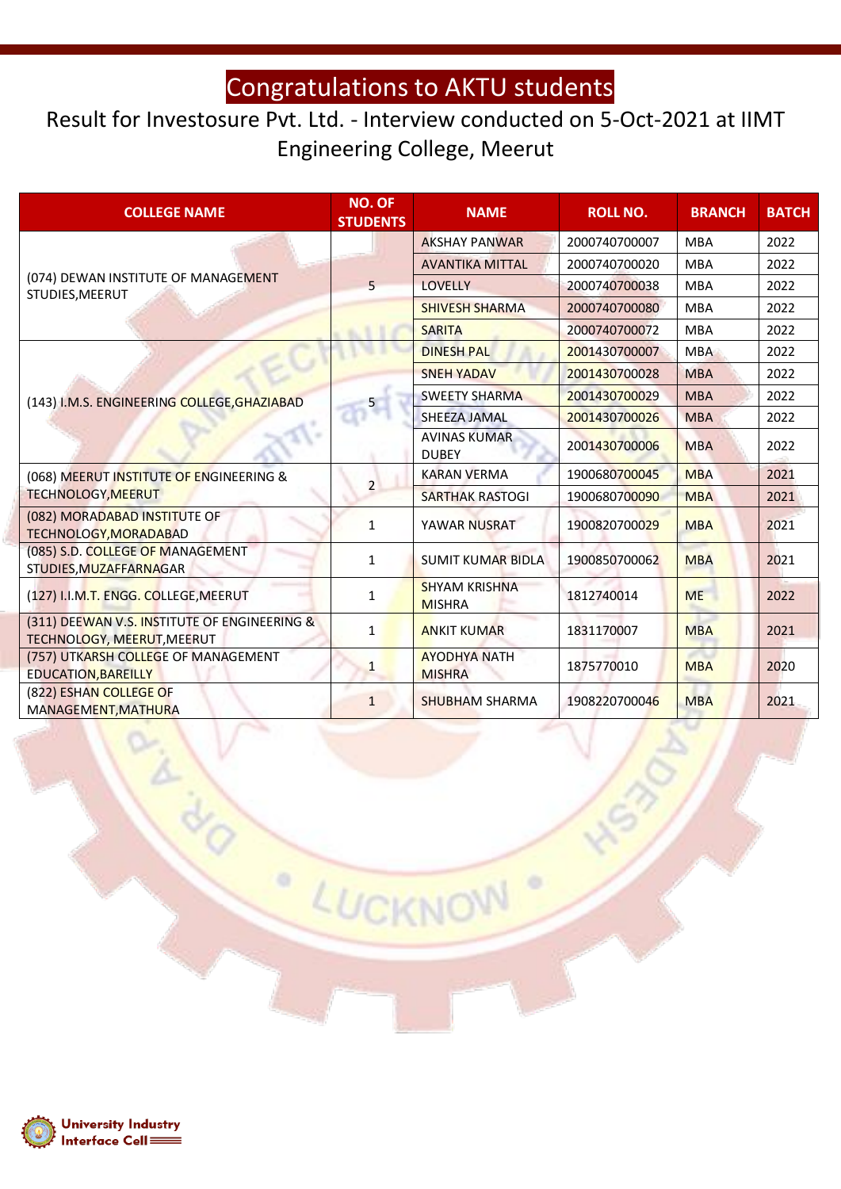### Result for Investosure Pvt. Ltd. - Interview conducted on 5-Oct-2021 at IIMT Engineering College, Meerut

| <b>COLLEGE NAME</b>                                                        | <b>NO. OF</b><br><b>STUDENTS</b> | <b>NAME</b>                           | <b>ROLL NO.</b> | <b>BRANCH</b> | <b>BATCH</b> |
|----------------------------------------------------------------------------|----------------------------------|---------------------------------------|-----------------|---------------|--------------|
|                                                                            |                                  | <b>AKSHAY PANWAR</b>                  | 2000740700007   | <b>MBA</b>    | 2022         |
|                                                                            | 5                                | <b>AVANTIKA MITTAL</b>                | 2000740700020   | <b>MBA</b>    | 2022         |
| (074) DEWAN INSTITUTE OF MANAGEMENT<br>STUDIES, MEERUT                     |                                  | <b>LOVELLY</b>                        | 2000740700038   | <b>MBA</b>    | 2022         |
|                                                                            |                                  | <b>SHIVESH SHARMA</b>                 | 2000740700080   | <b>MBA</b>    | 2022         |
|                                                                            |                                  | <b>SARITA</b>                         | 2000740700072   | <b>MBA</b>    | 2022         |
|                                                                            |                                  | <b>DINESH PAL</b>                     | 2001430700007   | <b>MBA</b>    | 2022         |
|                                                                            |                                  | <b>SNEH YADAV</b>                     | 2001430700028   | <b>MBA</b>    | 2022         |
| (143) I.M.S. ENGINEERING COLLEGE, GHAZIABAD                                |                                  | <b>SWEETY SHARMA</b>                  | 2001430700029   | <b>MBA</b>    | 2022         |
|                                                                            |                                  | <b>SHEEZA JAMAL</b>                   | 2001430700026   | <b>MBA</b>    | 2022         |
|                                                                            |                                  | <b>AVINAS KUMAR</b><br><b>DUBEY</b>   | 2001430700006   | <b>MBA</b>    | 2022         |
| (068) MEERUT INSTITUTE OF ENGINEERING &                                    | $\overline{2}$                   | <b>KARAN VERMA</b>                    | 1900680700045   | <b>MBA</b>    | 2021         |
| TECHNOLOGY, MEERUT                                                         |                                  | <b>SARTHAK RASTOGI</b>                | 1900680700090   | <b>MBA</b>    | 2021         |
| (082) MORADABAD INSTITUTE OF<br>TECHNOLOGY, MORADABAD                      | 1                                | YAWAR NUSRAT                          | 1900820700029   | <b>MBA</b>    | 2021         |
| (085) S.D. COLLEGE OF MANAGEMENT<br>STUDIES, MUZAFFARNAGAR                 | $\mathbf{1}$                     | <b>SUMIT KUMAR BIDLA</b>              | 1900850700062   | <b>MBA</b>    | 2021         |
| (127) I.I.M.T. ENGG. COLLEGE, MEERUT                                       | 1                                | <b>SHYAM KRISHNA</b><br><b>MISHRA</b> | 1812740014      | <b>ME</b>     | 2022         |
| (311) DEEWAN V.S. INSTITUTE OF ENGINEERING &<br>TECHNOLOGY, MEERUT, MEERUT | 1                                | <b>ANKIT KUMAR</b>                    | 1831170007      | <b>MBA</b>    | 2021         |
| (757) UTKARSH COLLEGE OF MANAGEMENT<br><b>EDUCATION, BAREILLY</b>          | $\mathbf{1}$                     | <b>AYODHYA NATH</b><br><b>MISHRA</b>  | 1875770010      | <b>MBA</b>    | 2020         |
| (822) ESHAN COLLEGE OF<br>MANAGEMENT, MATHURA                              | $\mathbf{1}$                     | <b>SHUBHAM SHARMA</b>                 | 1908220700046   | <b>MBA</b>    | 2021         |

LUCKNO

 $\circ$ 

N

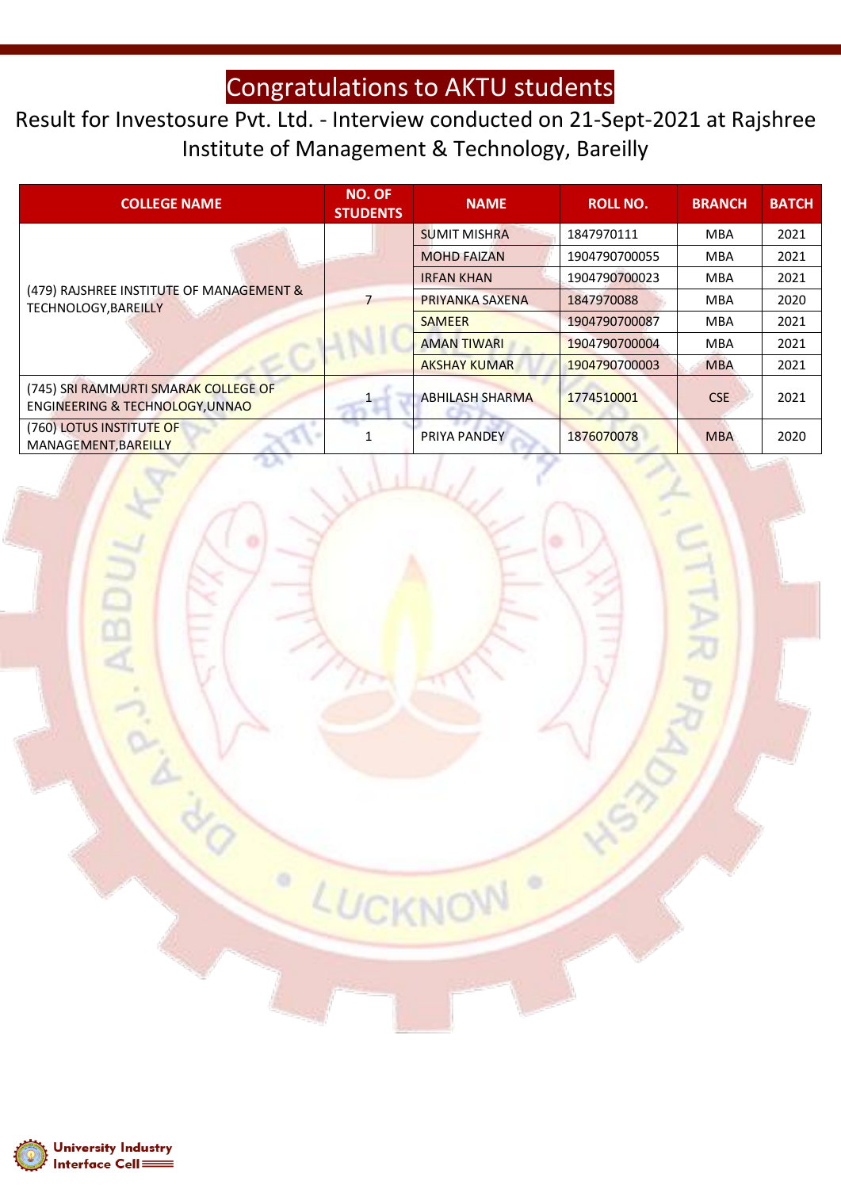Result for Investosure Pvt. Ltd. - Interview conducted on 21-Sept-2021 at Rajshree Institute of Management & Technology, Bareilly

| <b>COLLEGE NAME</b>                                                     | <b>NO. OF</b><br><b>STUDENTS</b> | <b>NAME</b>            | <b>ROLL NO.</b> | <b>BRANCH</b> | <b>BATCH</b> |
|-------------------------------------------------------------------------|----------------------------------|------------------------|-----------------|---------------|--------------|
| (479) RAJSHREE INSTITUTE OF MANAGEMENT &<br><b>TECHNOLOGY, BAREILLY</b> |                                  | <b>SUMIT MISHRA</b>    | 1847970111      | <b>MBA</b>    | 2021         |
|                                                                         |                                  | <b>MOHD FAIZAN</b>     | 1904790700055   | <b>MBA</b>    | 2021         |
|                                                                         |                                  | <b>IRFAN KHAN</b>      | 1904790700023   | <b>MBA</b>    | 2021         |
|                                                                         |                                  | <b>PRIYANKA SAXENA</b> | 1847970088      | <b>MBA</b>    | 2020         |
|                                                                         |                                  | <b>SAMEER</b>          | 1904790700087   | <b>MBA</b>    | 2021         |
|                                                                         |                                  | <b>AMAN TIWARI</b>     | 1904790700004   | <b>MBA</b>    | 2021         |
|                                                                         |                                  | <b>AKSHAY KUMAR</b>    | 1904790700003   | <b>MBA</b>    | 2021         |
| (745) SRI RAMMURTI SMARAK COLLEGE OF<br>ENGINEERING & TECHNOLOGY, UNNAO |                                  | <b>ABHILASH SHARMA</b> | 1774510001      | CSE           | 2021         |
| (760) LOTUS INSTITUTE OF<br>MANAGEMENT, BAREILLY                        |                                  | PRIYA PANDEY           | 1876070078      | <b>MBA</b>    | 2020         |

LUCKNO

۰

W

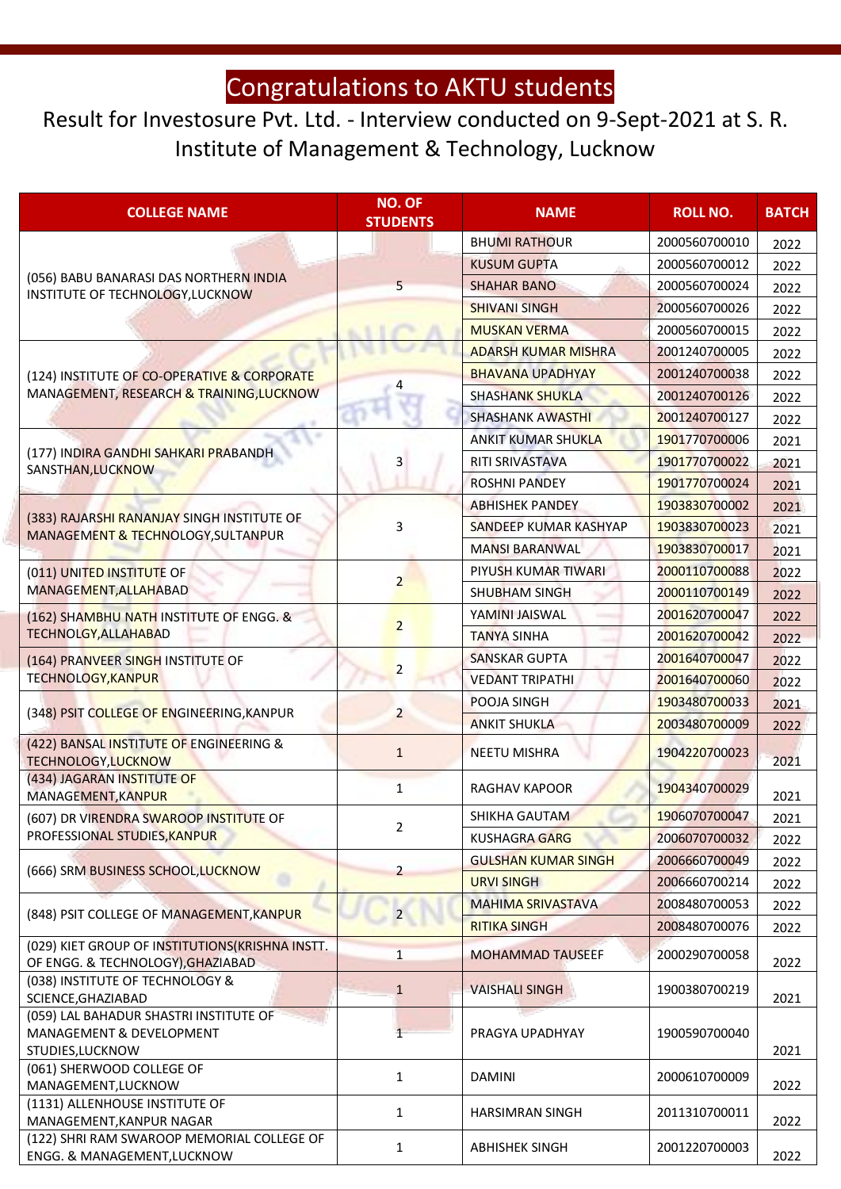#### Result for Investosure Pvt. Ltd. - Interview conducted on 9-Sept-2021 at S. R. Institute of Management & Technology, Lucknow

| <b>COLLEGE NAME</b>                                                                     | <b>NO. OF</b><br><b>STUDENTS</b> | <b>NAME</b>                | <b>ROLL NO.</b> | <b>BATCH</b> |
|-----------------------------------------------------------------------------------------|----------------------------------|----------------------------|-----------------|--------------|
|                                                                                         |                                  | <b>BHUMI RATHOUR</b>       | 2000560700010   | 2022         |
| (056) BABU BANARASI DAS NORTHERN INDIA                                                  |                                  | <b>KUSUM GUPTA</b>         | 2000560700012   | 2022         |
|                                                                                         | 5                                | <b>SHAHAR BANO</b>         | 2000560700024   | 2022         |
| INSTITUTE OF TECHNOLOGY, LUCKNOW                                                        |                                  | <b>SHIVANI SINGH</b>       | 2000560700026   | 2022         |
|                                                                                         |                                  | <b>MUSKAN VERMA</b>        | 2000560700015   | 2022         |
|                                                                                         |                                  | <b>ADARSH KUMAR MISHRA</b> | 2001240700005   |              |
|                                                                                         |                                  | <b>BHAVANA UPADHYAY</b>    | 2001240700038   | 2022         |
| (124) INSTITUTE OF CO-OPERATIVE & CORPORATE<br>MANAGEMENT, RESEARCH & TRAINING, LUCKNOW |                                  | <b>SHASHANK SHUKLA</b>     | 2001240700126   | 2022         |
|                                                                                         |                                  |                            |                 | 2022         |
|                                                                                         |                                  | <b>SHASHANK AWASTHI</b>    | 2001240700127   | 2022         |
| (177) INDIRA GANDHI SAHKARI PRABANDH                                                    |                                  | <b>ANKIT KUMAR SHUKLA</b>  | 1901770700006   | 2021         |
| SANSTHAN, LUCKNOW                                                                       | 3                                | RITI SRIVASTAVA            | 1901770700022   | 2021         |
|                                                                                         |                                  | <b>ROSHNI PANDEY</b>       | 1901770700024   | 2021         |
| (383) RAJARSHI RANANJAY SINGH INSTITUTE OF                                              |                                  | <b>ABHISHEK PANDEY</b>     | 1903830700002   | 2021         |
| MANAGEMENT & TECHNOLOGY, SULTANPUR                                                      | 3                                | SANDEEP KUMAR KASHYAP      | 1903830700023   | 2021         |
|                                                                                         |                                  | <b>MANSI BARANWAL</b>      | 1903830700017   | 2021         |
| (011) UNITED INSTITUTE OF                                                               |                                  | PIYUSH KUMAR TIWARI        | 2000110700088   | 2022         |
| MANAGEMENT, ALLAHABAD                                                                   | $\overline{2}$                   | <b>SHUBHAM SINGH</b>       | 2000110700149   | 2022         |
| (162) SHAMBHU NATH INSTITUTE OF ENGG. &<br><b>TECHNOLGY, ALLAHABAD</b>                  |                                  | YAMINI JAISWAL             | 2001620700047   | 2022         |
|                                                                                         | $\overline{2}$                   | <b>TANYA SINHA</b>         | 2001620700042   | 2022         |
| (164) PRANVEER SINGH INSTITUTE OF<br><b>TECHNOLOGY, KANPUR</b>                          |                                  | <b>SANSKAR GUPTA</b>       | 2001640700047   | 2022         |
|                                                                                         | $\overline{2}$                   | <b>VEDANT TRIPATHI</b>     | 2001640700060   | 2022         |
|                                                                                         |                                  | POOJA SINGH                | 1903480700033   | 2021         |
| (348) PSIT COLLEGE OF ENGINEERING, KANPUR                                               | $\overline{2}$                   | <b>ANKIT SHUKLA</b>        | 2003480700009   | 2022         |
| (422) BANSAL INSTITUTE OF ENGINEERING &                                                 | $\mathbf{1}$                     | <b>NEETU MISHRA</b>        | 1904220700023   |              |
| TECHNOLOGY, LUCKNOW                                                                     |                                  |                            |                 | 2021         |
| (434) JAGARAN INSTITUTE OF<br>MANAGEMENT, KANPUR                                        | $\mathbf{1}$                     | <b>RAGHAV KAPOOR</b>       | 1904340700029   | 2021         |
| (607) DR VIRENDRA SWAROOP INSTITUTE OF                                                  | 2                                | <b>SHIKHA GAUTAM</b>       | 1906070700047   | 2021         |
| PROFESSIONAL STUDIES, KANPUR                                                            |                                  | <b>KUSHAGRA GARG</b>       | 2006070700032   | 2022         |
|                                                                                         |                                  | <b>GULSHAN KUMAR SINGH</b> | 2006660700049   | 2022         |
| (666) SRM BUSINESS SCHOOL, LUCKNOW                                                      | $\overline{2}$                   | <b>URVI SINGH</b>          | 2006660700214   | 2022         |
|                                                                                         |                                  | <b>MAHIMA SRIVASTAVA</b>   | 2008480700053   | 2022         |
| (848) PSIT COLLEGE OF MANAGEMENT, KANPUR                                                | $\overline{2}$                   | <b>RITIKA SINGH</b>        | 2008480700076   | 2022         |
| (029) KIET GROUP OF INSTITUTIONS(KRISHNA INSTT.                                         | $\mathbf{1}$                     | <b>MOHAMMAD TAUSEEF</b>    | 2000290700058   |              |
| OF ENGG. & TECHNOLOGY), GHAZIABAD                                                       |                                  |                            |                 | 2022         |
| (038) INSTITUTE OF TECHNOLOGY &<br>SCIENCE, GHAZIABAD                                   | $\mathbf{1}$                     | <b>VAISHALI SINGH</b>      | 1900380700219   | 2021         |
| (059) LAL BAHADUR SHASTRI INSTITUTE OF                                                  |                                  |                            |                 |              |
| MANAGEMENT & DEVELOPMENT                                                                | $\mathbf{1}$                     | PRAGYA UPADHYAY            | 1900590700040   |              |
| STUDIES, LUCKNOW                                                                        |                                  |                            |                 | 2021         |
| (061) SHERWOOD COLLEGE OF<br>MANAGEMENT, LUCKNOW                                        | 1                                | <b>DAMINI</b>              | 2000610700009   | 2022         |
| (1131) ALLENHOUSE INSTITUTE OF                                                          |                                  |                            |                 |              |
| MANAGEMENT, KANPUR NAGAR                                                                | 1                                | <b>HARSIMRAN SINGH</b>     | 2011310700011   | 2022         |
| (122) SHRI RAM SWAROOP MEMORIAL COLLEGE OF<br>ENGG. & MANAGEMENT, LUCKNOW               | 1                                | <b>ABHISHEK SINGH</b>      | 2001220700003   | 2022         |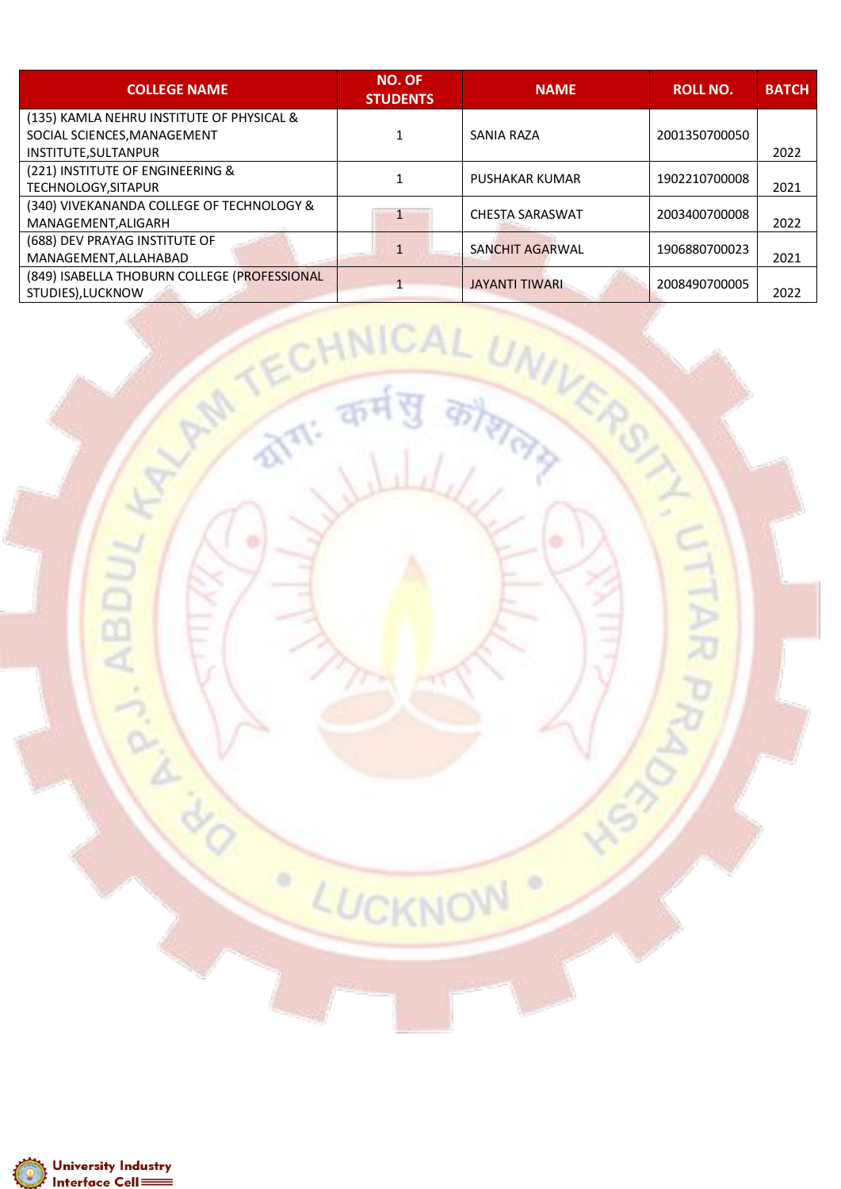| <b>COLLEGE NAME</b>                          | <b>NO. OF</b><br><b>STUDENTS</b> | <b>NAME</b>            | <b>ROLL NO.</b> | <b>BATCH</b> |
|----------------------------------------------|----------------------------------|------------------------|-----------------|--------------|
| (135) KAMLA NEHRU INSTITUTE OF PHYSICAL &    |                                  |                        |                 |              |
| SOCIAL SCIENCES, MANAGEMENT                  |                                  | SANIA RAZA             | 2001350700050   |              |
| INSTITUTE, SULTANPUR                         |                                  |                        |                 | 2022         |
| (221) INSTITUTE OF ENGINEERING &             |                                  | <b>PUSHAKAR KUMAR</b>  | 1902210700008   |              |
| TECHNOLOGY, SITAPUR                          |                                  |                        |                 | 2021         |
| (340) VIVEKANANDA COLLEGE OF TECHNOLOGY &    |                                  | <b>CHESTA SARASWAT</b> | 2003400700008   |              |
| MANAGEMENT, ALIGARH                          |                                  |                        |                 | 2022         |
| (688) DEV PRAYAG INSTITUTE OF                |                                  | SANCHIT AGARWAL        | 1906880700023   |              |
| MANAGEMENT, ALLAHABAD                        |                                  |                        |                 | 2021         |
| (849) ISABELLA THOBURN COLLEGE (PROFESSIONAL |                                  | <b>JAYANTI TIWARI</b>  | 2008490700005   |              |
| STUDIES).LUCKNOW                             |                                  |                        |                 | 2022         |

LUCKNOW

 $\circ$ 

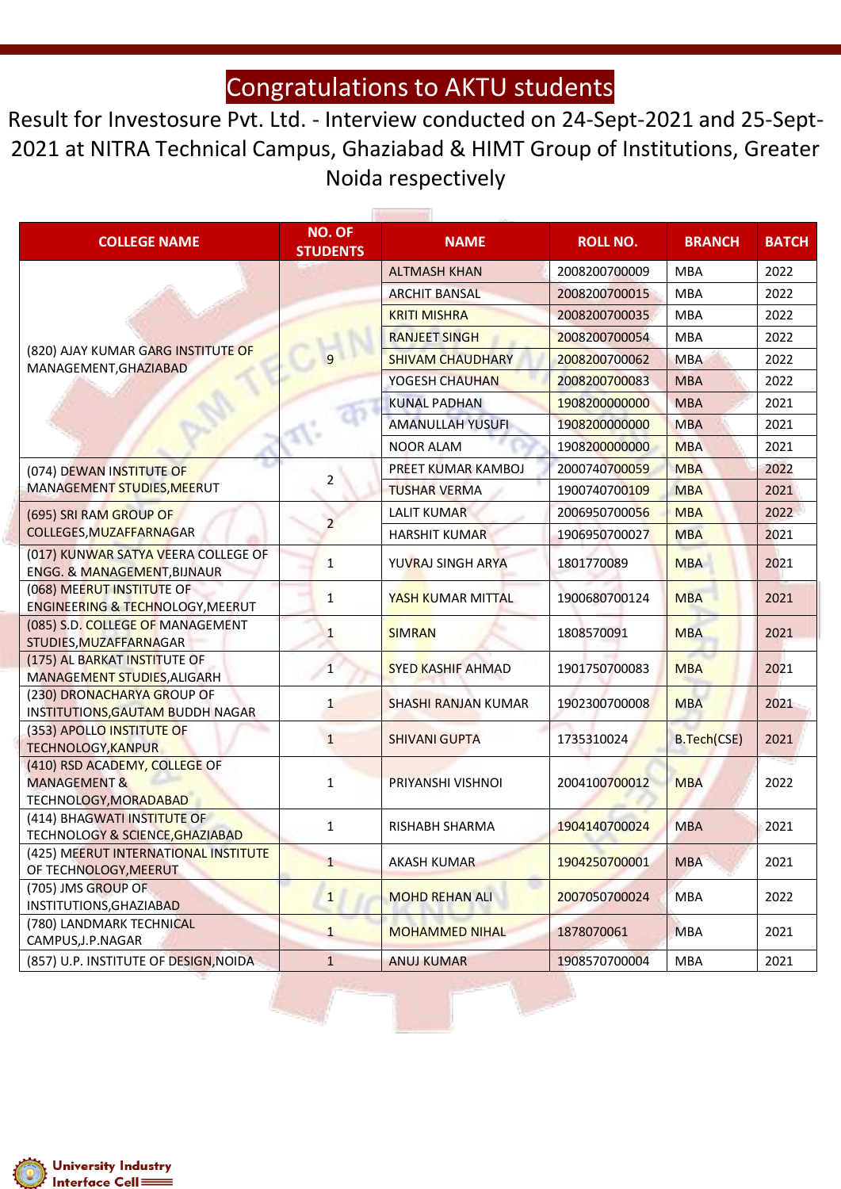Result for Investosure Pvt. Ltd. - Interview conducted on 24-Sept-2021 and 25-Sept-2021 at NITRA Technical Campus, Ghaziabad & HIMT Group of Institutions, Greater Noida respectively

| <b>COLLEGE NAME</b>                                                               | <b>NO. OF</b><br><b>STUDENTS</b> | <b>NAME</b>                |               | <b>BRANCH</b>      | <b>BATCH</b> |
|-----------------------------------------------------------------------------------|----------------------------------|----------------------------|---------------|--------------------|--------------|
|                                                                                   |                                  | <b>ALTMASH KHAN</b>        | 2008200700009 | <b>MBA</b>         | 2022         |
|                                                                                   |                                  | <b>ARCHIT BANSAL</b>       | 2008200700015 | <b>MBA</b>         | 2022         |
|                                                                                   |                                  | <b>KRITI MISHRA</b>        | 2008200700035 | <b>MBA</b>         | 2022         |
|                                                                                   |                                  | <b>RANJEET SINGH</b>       | 2008200700054 | <b>MBA</b>         | 2022         |
| (820) AJAY KUMAR GARG INSTITUTE OF                                                | q                                | <b>SHIVAM CHAUDHARY</b>    | 2008200700062 | <b>MBA</b>         | 2022         |
| MANAGEMENT, GHAZIABAD                                                             |                                  | YOGESH CHAUHAN             | 2008200700083 | <b>MBA</b>         | 2022         |
|                                                                                   |                                  | <b>KUNAL PADHAN</b>        | 1908200000000 | <b>MBA</b>         | 2021         |
|                                                                                   |                                  | <b>AMANULLAH YUSUFI</b>    | 1908200000000 | <b>MBA</b>         | 2021         |
|                                                                                   |                                  | <b>NOOR ALAM</b>           | 1908200000000 | <b>MBA</b>         | 2021         |
| (074) DEWAN INSTITUTE OF                                                          |                                  | PREET KUMAR KAMBOJ         | 2000740700059 | <b>MBA</b>         | 2022         |
| MANAGEMENT STUDIES, MEERUT                                                        | 2                                | <b>TUSHAR VERMA</b>        | 1900740700109 | <b>MBA</b>         | 2021         |
| (695) SRI RAM GROUP OF                                                            |                                  | <b>LALIT KUMAR</b>         | 2006950700056 | <b>MBA</b>         | 2022         |
| <b>COLLEGES, MUZAFFARNAGAR</b>                                                    | $\overline{2}$                   | <b>HARSHIT KUMAR</b>       | 1906950700027 | <b>MBA</b>         | 2021         |
| (017) KUNWAR SATYA VEERA COLLEGE OF<br>ENGG. & MANAGEMENT, BIJNAUR                | $\mathbf{1}$                     | YUVRAJ SINGH ARYA          | 1801770089    | <b>MBA</b>         | 2021         |
| (068) MEERUT INSTITUTE OF<br>ENGINEERING & TECHNOLOGY, MEERUT                     | $\mathbf{1}$                     | <b>YASH KUMAR MITTAL</b>   | 1900680700124 | <b>MBA</b>         | 2021         |
| (085) S.D. COLLEGE OF MANAGEMENT<br>STUDIES, MUZAFFARNAGAR                        | $\mathbf{1}$                     | <b>SIMRAN</b>              | 1808570091    | <b>MBA</b>         | 2021         |
| (175) AL BARKAT INSTITUTE OF<br>MANAGEMENT STUDIES, ALIGARH                       | $\mathbf{1}$                     | SYED KASHIF AHMAD          | 1901750700083 | <b>MBA</b>         | 2021         |
| (230) DRONACHARYA GROUP OF<br>INSTITUTIONS, GAUTAM BUDDH NAGAR                    | $\mathbf{1}$                     | <b>SHASHI RANJAN KUMAR</b> | 1902300700008 | <b>MBA</b>         | 2021         |
| (353) APOLLO INSTITUTE OF<br><b>TECHNOLOGY, KANPUR</b>                            | $\mathbf{1}$                     | <b>SHIVANI GUPTA</b>       | 1735310024    | <b>B.Tech(CSE)</b> | 2021         |
| (410) RSD ACADEMY, COLLEGE OF<br><b>MANAGEMENT &amp;</b><br>TECHNOLOGY, MORADABAD | $\mathbf{1}$                     | PRIYANSHI VISHNOI          | 2004100700012 | <b>MBA</b>         | 2022         |
| (414) BHAGWATI INSTITUTE OF<br>TECHNOLOGY & SCIENCE, GHAZIABAD                    | $\mathbf{1}$                     | RISHABH SHARMA             | 1904140700024 | <b>MBA</b>         | 2021         |
| (425) MEERUT INTERNATIONAL INSTITUTE<br>OF TECHNOLOGY, MEERUT                     | $\mathbf{1}$                     | <b>AKASH KUMAR</b>         | 1904250700001 | <b>MBA</b>         | 2021         |
| (705) JMS GROUP OF<br>INSTITUTIONS, GHAZIABAD                                     | $\mathbf{1}$                     | <b>MOHD REHAN ALI</b>      | 2007050700024 | MBA                | 2022         |
| (780) LANDMARK TECHNICAL<br>CAMPUS, J.P. NAGAR                                    | $\mathbf{1}$                     | <b>MOHAMMED NIHAL</b>      | 1878070061    | <b>MBA</b>         | 2021         |
| (857) U.P. INSTITUTE OF DESIGN, NOIDA                                             | $\mathbf{1}$                     | <b>ANUJ KUMAR</b>          | 1908570700004 | <b>MBA</b>         | 2021         |



ś